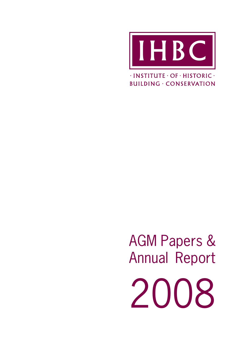

 $\cdot$ INSTITUTE  $\cdot$  OF  $\cdot$  HISTORIC  $\cdot$ **BUILDING · CONSERVATION** 

AGM Papers & Annual Report 2008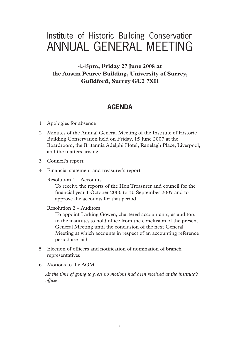# Institute of Historic Building Conservation ANNUAL GENERAL MEETING

**4.45pm, Friday 27 June 2008 at the Austin Pearce Building, University of Surrey, Guildford, Surrey GU2 7XH**

# **AGENDA**

- 1 Apologies for absence
- 2 Minutes of the Annual General Meeting of the Institute of Historic Building Conservation held on Friday, 15 June 2007 at the Boardroom, the Britannia Adelphi Hotel, Ranelagh Place, Liverpool, and the matters arising
- 3 Council's report
- 4 Financial statement and treasurer's report

Resolution 1 – Accounts

To receive the reports of the Hon Treasurer and council for the financial year 1 October 2006 to 30 September 2007 and to approve the accounts for that period

Resolution 2 – Auditors

To appoint Larking Gowen, chartered accountants, as auditors to the institute, to hold office from the conclusion of the present General Meeting until the conclusion of the next General Meeting at which accounts in respect of an accounting reference period are laid.

- 5 Election of officers and notification of nomination of branch representatives
- 6 Motions to the AGM

*At the time of going to press no motions had been received at the institute's offices.*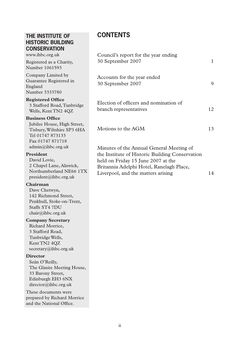# **THE INSTITUTE OF HISTORIC BUILDING CONSERVATION**

www.ihbc.org.uk

Registered as a Charity, Number 1061593

Company Limited by Guarantee Registered in England Number 3333780

#### **Registered Office**

3 Stafford Road, Tunbridge Wells, Kent TN2 4QZ

#### **Business Office**

Jubilee House, High Street, Tisbury, Wiltshire SP3 6HA Tel 01747 873133 Fax 01747 871718 admin@ihbc.org.uk

#### **President**

David Lovie, 2 Chapel Lane, Alnwick, Northumberland NE66 1TX president@ihbc.org.uk

#### **Chairman**

Dave Chetwyn, 142 Richmond Street, Penkhull, Stoke-on-Trent, Staffs ST4 7DU chair@ihbc.org.uk

#### **Company Secretary**

Richard Morrice, 3 Stafford Road, Tunbridge Wells, Kent TN2 4QZ secretary@ihbc.org.uk

#### **Director**

Seán O'Reilly, The Glasite Meeting House, 33 Barony Street, Edinburgh EH3 6NX director@ihbc.org.uk

These documents were prepared by Richard Morrice and the National Office.

# **CONTENTS**

| Council's report for the year ending<br>30 September 2007                                                                                                                                                           | 1  |
|---------------------------------------------------------------------------------------------------------------------------------------------------------------------------------------------------------------------|----|
| Accounts for the year ended<br>30 September 2007                                                                                                                                                                    | 9  |
| Election of officers and nomination of<br>branch representatives                                                                                                                                                    | 12 |
| Motions to the AGM                                                                                                                                                                                                  | 13 |
| Minutes of the Annual General Meeting of<br>the Institute of Historic Building Conservation<br>held on Friday 15 June 2007 at the<br>Britannia Adelphi Hotel, Ranelagh Place,<br>Liverpool, and the matters arising | 14 |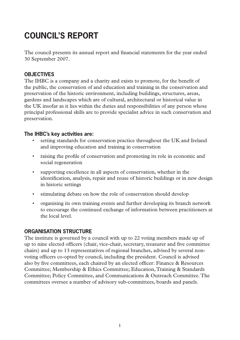# **COUNCIL'S REPORT**

The council presents its annual report and financial statements for the year ended 30 September 2007.

# **OBJECTIVES**

The IHBC is a company and a charity and exists to promote, for the benefit of the public, the conservation of and education and training in the conservation and preservation of the historic environment, including buildings, structures, areas, gardens and landscapes which are of cultural, architectural or historical value in the UK insofar as it lies within the duties and responsibilities of any person whose principal professional skills are to provide specialist advice in such conservation and preservation.

### **The IHBC's key activities are:**

- setting standards for conservation practice throughout the UK and Ireland and improving education and training in conservation
- • raising the profile of conservation and promoting its role in economic and social regeneration
- supporting excellence in all aspects of conservation, whether in the identification, analysis, repair and reuse of historic buildings or in new design in historic settings
- stimulating debate on how the role of conservation should develop
- organising its own training events and further developing its branch network to encourage the continued exchange of information between practitioners at the local level.

# **ORGANISATION STRUCTURE**

The institute is governed by a council with up to 22 voting members made up of up to nine elected officers (chair, vice-chair, secretary, treasurer and five committee chairs) and up to 13 representatives of regional branches, advised by several nonvoting officers co-opted by council, including the president. Council is advised also by five committees, each chaired by an elected officer: Finance & Resources Committee; Membership & Ethics Committee; Education, Training & Standards Committee; Policy Committee, and Communications & Outreach Committee. The committees oversee a number of advisory sub-committees, boards and panels.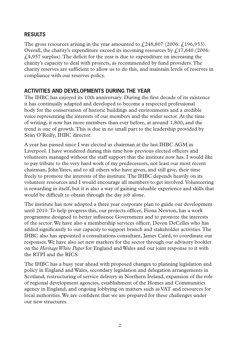# **RESULTS**

The gross resources arising in the year amounted to  $\ell$ , 248,807 (2006:  $\ell$ , 196,953). Overall, the charity's expenditure exceed its incoming resources by  $\ell$ , 17,640 (2006:  $f(4,957)$  surplus). The deficit for the year is due to expenditure on increasing the charity's capacity to deal with projects, as recommended by fund providers. The charity reserves are sufficient to allow us to do this, and maintain levels of reserves in compliance with our reserves policy.

# **ACTIVITIES AND DEVELOPMENTS DURING THE YEAR**

The IHBC has enjoyed its 10th anniversary. During the first decade of its existence it has continually adapted and developed to become a respected professional body for the conservation of historic buildings and environments and a credible voice representing the interests of our members and the wider sector. At the time of writing, it now has more members than ever before, at around 1,800, and the trend is one of growth. This is due in no small part to the leadership provided by Seán O'Reilly, IHBC director.

A year has passed since I was elected as chairman at the last IHBC AGM in Liverpool. I have wondered during this time how previous elected officers and volunteers managed without the staff support that the institute now has. I would like to pay tribute to the very hard work of my predecessors, not least our most recent chairman, John Yates, and to all others who have given, and still give, their time freely to promote the interests of the institute. The IHBC depends heavily on its volunteer resources and I would encourage all members to get involved. Volunteering is rewarding in itself, but it is also a way of gaining valuable experience and skills that would be difficult to obtain through the day job alone.

The institute has now adopted a three year corporate plan to guide our development until 2010. To help progress this, our projects officer, Fiona Newton, has a work programme designed to better influence Government and to promote the interests of the sector. We have also a membership services officer, Devon DeCelles who has added significantly to our capacity to support branch and stakeholder activities. The IHBC also has appointed a consultations consultant, James Caird, to coordinate our responses. We have also set new markers for the sector through our advisory booklet on the *Heritage White Paper* for England and Wales and our joint response to it with the RTPI and the RICS.

The IHBC has a busy year ahead with proposed changes to planning legislation and policy in England and Wales, secondary legislation and delegation arrangements in Scotland, restructuring of service delivery in Northern Ireland, expansion of the role of regional development agencies, establishment of the Homes and Communities agency in England, and ongoing lobbying on matters such as VAT and resources for local authorities. We are confident that we are prepared for these challenges under our new structures.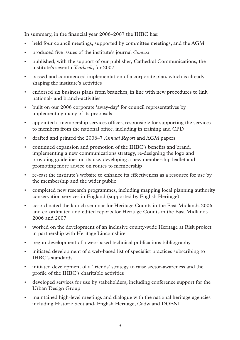In summary, in the financial year 2006–2007 the IHBC has:

- held four council meetings, supported by committee meetings, and the AGM
- produced five issues of the institute's journal *Context*
- • published, with the support of our publisher, Cathedral Communications, the institute's seventh *Yearbook*, for 2007
- passed and commenced implementation of a corporate plan, which is already shaping the institute's activities
- endorsed six business plans from branches, in line with new procedures to link national- and branch-activities
- built on our 2006 corporate 'away-day' for council representatives by implementing many of its proposals
- appointed a membership services officer, responsible for supporting the services to members from the national office, including in training and CPD
- • drafted and printed the 2006–7 *Annual Report* and AGM papers
- continued expansion and promotion of the IHBC's benefits and brand, implementing a new communications strategy, re-designing the logo and providing guidelines on its use, developing a new membership leaflet and promoting more advice on routes to membership
- • re-cast the institute's website to enhance its effectiveness as a resource for use by the membership and the wider public
- completed new research programmes, including mapping local planning authority conservation services in England (supported by English Heritage)
- • co-ordinated the launch seminar for Heritage Counts in the East Midlands 2006 and co-ordinated and edited reports for Heritage Counts in the East Midlands 2006 and 2007
- worked on the development of an inclusive county-wide Heritage at Risk project in partnership with Heritage Lincolnshire
- begun development of a web-based technical publications bibliography
- initiated development of a web-based list of specialist practices subscribing to IHBC's standards
- initiated development of a 'friends' strategy to raise sector-awareness and the profile of the IHBC's charitable activities
- developed services for use by stakeholders, including conference support for the Urban Design Group
- maintained high-level meetings and dialogue with the national heritage agencies including Historic Scotland, English Heritage, Cadw and DOENI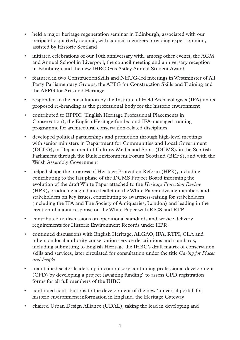- held a major heritage regeneration seminar in Edinburgh, associated with our peripatetic quarterly council, with council members providing expert opinion, assisted by Historic Scotland
- initiated celebrations of our 10th anniversary with, among other events, the AGM and Annual School in Liverpool, the council meeting and anniversary reception in Edinburgh and the new IHBC Gus Astley Annual Student Award
- • featured in two ConstructionSkills and NHTG-led meetings inWestminster of All Party Parliamentary Groups, the APPG for Construction Skills and Training and the APPG for Arts and Heritage
- responded to the consultation by the Institute of Field Archaeologists (IFA) on its proposed re-branding as the professional body for the historic environment
- • contributed to EPPIC (English Heritage Professional Placements in Conservation), the English Heritage-funded and IFA-managed training programme for architectural conservation-related disciplines
- • developed political partnerships and promotion through high-level meetings with senior ministers in Department for Communities and Local Government (DCLG), in Department of Culture, Media and Sport (DCMS), in the Scottish Parliament through the Built Environment Forum Scotland (BEFS), and with the Welsh Assembly Government
- helped shape the progress of Heritage Protection Reform (HPR), including contributing to the last phase of the DCMS Project Board informing the evolution of the draft White Paper attached to the *Heritage Protection Review* (HPR), producing a guidance leaflet on the White Paper advising members and stakeholders on key issues, contributing to awareness-raising for stakeholders (including the IFA and The Society of Antiquaries, London) and leading in the creation of a joint response on the White Paper with RICS and RTPI
- • contributed to discussions on operational standards and service delivery requirements for Historic Environment Records under HPR
- • continued discussions with English Heritage, ALGAO, IFA, RTPI, CLA and others on local authority conservation service descriptions and standards, including submitting to English Heritage the IHBC's draft matrix of conservation skills and services, later circulated for consultation under the title *Caring for Places and People*
- maintained sector leadership in compulsory continuing professional development (CPD) by developing a project (awaiting funding) to assess CPD registration forms for all full members of the IHBC
- continued contributions to the development of the new 'universal portal' for historic environment information in England, the Heritage Gateway
- chaired Urban Design Alliance (UDAL), taking the lead in developing and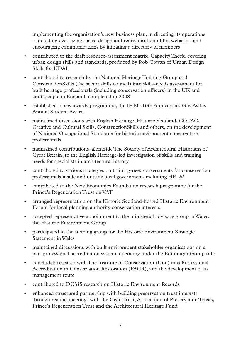implementing the organisation's new business plan, in directing its operations – including overseeing the re-design and reorganisation of the website – and encouraging communications by initiating a directory of members

- • contributed to the draft resource-assessment matrix, CapacityCheck, covering urban design skills and standards, produced by Rob Cowan of Urban Design Skills for UDAL
- contributed to research by the National Heritage Training Group and ConstructionSkills (the sector skills council) into skills-needs assessment for built heritage professionals (including conservation officers) in the UK and craftspeople in England, completed in 2008
- established a new awards programme, the IHBC 10th Anniversary Gus Astley Annual Student Award
- • maintained discussions with English Heritage, Historic Scotland, COTAC, Creative and Cultural Skills, ConstructionSkills and others, on the development of National Occupational Standards for historic environment conservation professionals
- maintained contributions, alongside The Society of Architectural Historians of Great Britain, to the English Heritage-led investigation of skills and training needs for specialists in architectural history
- • contributed to various strategies on training-needs assessments for conservation professionals inside and outside local government, including HELM
- contributed to the New Economics Foundation research programme for the Prince's Regeneration Trust on VAT
- arranged representation on the Historic Scotland-hosted Historic Environment Forum for local planning authority conservation interests
- accepted representative appointment to the ministerial advisory group in Wales, the Historic Environment Group
- participated in the steering group for the Historic Environment Strategic Statement in Wales
- maintained discussions with built environment stakeholder organisations on a pan-professional accreditation system, operating under the Edinburgh Group title
- • concluded research with The Institute of Conservation (Icon) into Professional Accreditation in Conservation Restoration (PACR), and the development of its management route
- contributed to DCMS research on Historic Environment Records
- enhanced structured partnership with building preservation trust interests through regular meetings with the Civic Trust, Association of Preservation Trusts, Prince's Regeneration Trust and the Architectural Heritage Fund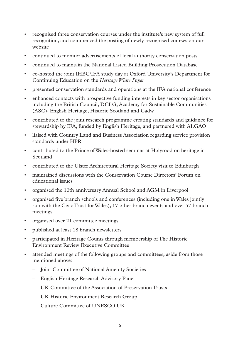- • recognised three conservation courses under the institute's new system of full recognition, and commenced the posting of newly recognised courses on our website
- • continued to monitor advertisements of local authority conservation posts
- • continued to maintain the National Listed Building Prosecution Database
- • co-hosted the joint IHBC/IFA study day at Oxford University's Department for Continuing Education on the *Heritage White Paper*
- • presented conservation standards and operations at the IFA national conference
- enhanced contacts with prospective funding interests in key sector organisations including the British Council, DCLG, Academy for Sustainable Communities (ASC), English Heritage, Historic Scotland and Cadw
- contributed to the joint research programme creating standards and guidance for stewardship by IFA, funded by English Heritage, and partnered with ALGAO
- • liaised with Country Land and Business Association regarding service provision standards under HPR
- • contributed to the Prince ofWales-hosted seminar at Holyrood on heritage in Scotland
- • contributed to the Ulster Architectural Heritage Society visit to Edinburgh
- maintained discussions with the Conservation Course Directors' Forum on educational issues
- organised the 10th anniversary Annual School and AGM in Liverpool
- • organised five branch schools and conferences (including one inWales jointly run with the Civic Trust for Wales), 17 other branch events and over 57 branch meetings
- organised over 21 committee meetings
- published at least 18 branch newsletters
- participated in Heritage Counts through membership of The Historic Environment Review Executive Committee
- attended meetings of the following groups and committees, aside from those mentioned above:
	- Joint Committee of National Amenity Societies
	- English Heritage Research Advisory Panel
	- UK Committee of the Association of Preservation Trusts
	- UK Historic Environment Research Group
	- Culture Committee of UNESCO UK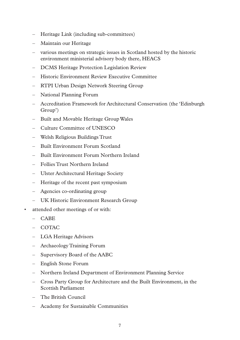- Heritage Link (including sub-committees)
- Maintain our Heritage
- various meetings on strategic issues in Scotland hosted by the historic environment ministerial advisory body there, HEACS
- DCMS Heritage Protection Legislation Review
- Historic Environment Review Executive Committee
- RTPI Urban Design Network Steering Group
- National Planning Forum
- – Accreditation Framework for Architectural Conservation (the 'Edinburgh Group')
- Built and Movable Heritage Group Wales
- Culture Committee of UNESCO
- Welsh Religious Buildings Trust
- Built Environment Forum Scotland
- Built Environment Forum Northern Ireland
- Follies Trust Northern Ireland
- Ulster Architectural Heritage Society
- Heritage of the recent past symposium
- Agencies co-ordinating group
- UK Historic Environment Research Group
- attended other meetings of or with:
	- $-$  CABE
	- $-$  COTAC
	- LGA Heritage Advisors
	- Archaeology Training Forum
	- Supervisory Board of the AABC
	- English Stone Forum
	- Northern Ireland Department of Environment Planning Service
	- Cross Party Group for Architecture and the Built Environment, in the Scottish Parliament
	- The British Council
	- Academy for Sustainable Communities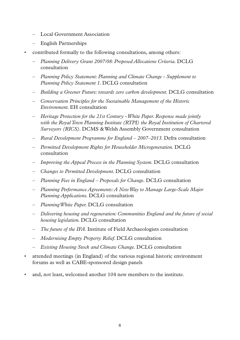- Local Government Association
- English Partnerships
- contributed formally to the following consultations, among others:
	- *Planning Delivery Grant 2007/08: Proposed Allocations Criteria.* DCLG consultation
	- *Planning Policy Statement: Planning and Climate Change Supplement to Planning Policy Statement 1.* DCLG consultation
	- *Building a Greener Future: towards zero carbon development.* DCLG consultation
	- *Conservation Principles for the Sustainable Management of the Historic Environment.* EH consultation
	- *Heritage Protection for the 21st Century White Paper. Response made jointly with the Royal Town Planning Institute (RTPI) the Royal Institution of Chartered Surveyors (RICS).* DCMS & Welsh Assembly Government consultation
	- *Rural Development Programme for England 2007–2013.* Defra consultation
	- *Permitted Development Rights for Householder Microgeneration.* DCLG consultation
	- *Improving the Appeal Process in the Planning System.* DCLG consultation
	- *Changes to Permitted Development.* DCLG consultation
	- *Planning Fees in England Proposals for Change.* DCLG consultation
	- *Planning Performance Agreements: A New Way to Manage Large-Scale Major Planning Applications.* DCLG consultation
	- *Planning White Paper.* DCLG consultation
	- *Delivering housing and regeneration: Communities England and the future of social housing legislation.* DCLG consultation
	- *The future of the IFA.* Institute of Field Archaeologists consultation
	- *Modernising Empty Property Relief.* DCLG consultation
	- *Existing Housing Stock and Climate Change.* DCLG consultation
- attended meetings (in England) of the various regional historic environment forums as well as CABE-sponsored design panels
- and, not least, welcomed another 104 new members to the institute.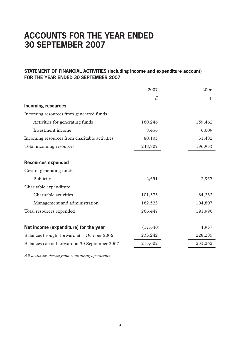# **ACCOUNTS for the year ended 30 september 2007**

# **STATEMENT OF FINANCIAL ACTIVITIES (including income and expenditure account) FOR THE YEAR ENDED 30 SEPTEMBER 2007**

|                                               | 2007     | 2006    |
|-----------------------------------------------|----------|---------|
|                                               | £.       | £       |
| Incoming resources                            |          |         |
| Incoming resources from generated funds       |          |         |
| Activities for generating funds               | 160,246  | 159,462 |
| Investment income                             | 8,456    | 6,009   |
| Incoming resources from charitable activities | 80,105   | 31,482  |
| Total incoming resources                      | 248,807  | 196,953 |
| <b>Resources expended</b>                     |          |         |
| Cost of generating funds                      |          |         |
| Publicity                                     | 2,551    | 2,957   |
| Charitable expenditure                        |          |         |
| Charitable activities                         | 101,373  | 84,232  |
| Management and administration                 | 162,523  | 104,807 |
| Total resources expended                      | 266,447  | 191,996 |
|                                               |          |         |
| Net income (expenditure) for the year         | (17,640) | 4,957   |
| Balances brought forward at 1 October 2006    | 233,242  | 228,285 |
| Balances carried forward at 30 September 2007 | 215,602  | 233,242 |

*All activities derive from continuing operations.*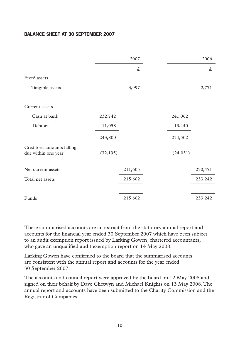#### **BALANCE SHEET AT 30 SEPTEMBER 2007**

|                                                   |           | 2007    |           | 2006    |
|---------------------------------------------------|-----------|---------|-----------|---------|
|                                                   |           | £,      |           | £.      |
| Fixed assets                                      |           |         |           |         |
| Tangible assets                                   |           | 3,997   |           | 2,771   |
| Current assets                                    |           |         |           |         |
| Cash at bank                                      | 232,742   |         | 241,062   |         |
| Debtors                                           | 11,058    |         | 13,440    |         |
|                                                   | 243,800   |         | 254,502   |         |
| Creditors: amounts falling<br>due within one year | (32, 195) |         | (24, 031) |         |
| Net current assets                                |           | 211,605 |           | 230,471 |
| Total net assets                                  |           | 215,602 |           | 233,242 |
|                                                   |           |         |           |         |
| Funds                                             |           | 215,602 |           | 233,242 |

These summarised accounts are an extract from the statutory annual report and accounts for the financial year ended 30 September 2007 which have been subject to an audit exemption report issued by Larking Gowen, chartered accountants, who gave an unqualified audit exemption report on 14 May 2008.

Larking Gowen have confirmed to the board that the summarised accounts are consistent with the annual report and accounts for the year ended 30 September 2007.

The accounts and council report were approved by the board on 12 May 2008 and signed on their behalf by Dave Chetwyn and Michael Knights on 13 May 2008. The annual report and accounts have been submitted to the Charity Commission and the Registrar of Companies.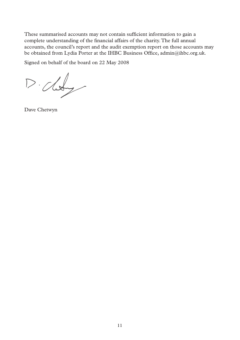These summarised accounts may not contain sufficient information to gain a complete understanding of the financial affairs of the charity. The full annual accounts, the council's report and the audit exemption report on those accounts may be obtained from Lydia Porter at the IHBC Business Office, admin@ihbc.org.uk.

Signed on behalf of the board on 22 May 2008

D. Cloy

Dave Chetwyn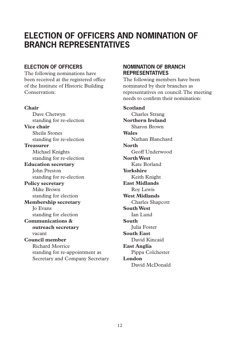# **ELECTION OF OFFICERS AND NOMINATION OF BRANCH REPRESENTATIVES**

# **ELECTION OF OFFICERS**

The following nominations have been received at the registered office of the Institute of Historic Building Conservation:

**Chair** Dave Chetwyn standing for re-election **Vice chair** Sheila Stones standing for re-election **Treasurer** Michael Knights standing for re-election **Education secretary** John Preston standing for re-election **Policy secretary** Mike Brown standing for election **Membership secretary** Jo Evans standing for election **Communications & outreach secretary** vacant **Council member** Richard Morrice standing for re-appointment as Secretary and Company Secretary

# **NOMINATION OF BRANCH REPRESENTATIVES**

The following members have been nominated by their branches as representatives on council. The meeting needs to confirm their nomination:

# **Scotland** Charles Strang **Northern Ireland**  Sharon Brown **Wales**  Nathan Blanchard **North**  Geoff Underwood **North West**  Kate Borland **Yorkshire**  Keith Knight **East Midlands**  Roy Lewis **West Midlands** Charles Shapcott **South West**  Ian Lund **South**  Julia Foster **South East**  David Kincaid **East Anglia**  Pippa Colchester **London**  David McDonald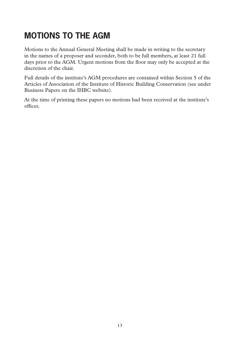# **MOTIONS TO THE AGM**

Motions to the Annual General Meeting shall be made in writing to the secretary in the names of a proposer and seconder, both to be full members, at least 21 full days prior to the AGM. Urgent motions from the floor may only be accepted at the discretion of the chair.

Full details of the institute's AGM procedures are contained within Section 5 of the Articles of Association of the Institute of Historic Building Conservation (see under Business Papers on the IHBC website).

At the time of printing these papers no motions had been received at the institute's offices.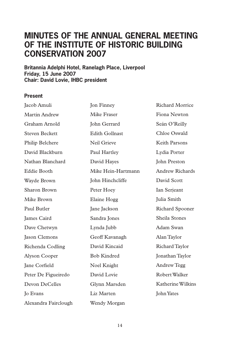# **Minutes of the Annual General Meeting of the Institute of Historic Building Conservation 2007**

**Britannia Adelphi Hotel, Ranelagh Place, Liverpool Friday, 15 June 2007 Chair: David Lovie, IHBC president**

### **Present**

| Jacob Amuli           | Jon Finney            | <b>Richard Morrice</b> |
|-----------------------|-----------------------|------------------------|
| Martin Andrew         | Mike Fraser           | Fiona Newton           |
| Graham Arnold         | John Gerrard          | Seán O'Reilly          |
| <b>Steven Beckett</b> | <b>Edith Gollnast</b> | Chloe Oswald           |
| Philip Belchere       | Neil Grieve           | Keith Parsons          |
| David Blackburn       | Paul Hartley          | Lydia Porter           |
| Nathan Blanchard      | David Hayes           | John Preston           |
| Eddie Booth           | Mike Hein-Hartmann    | Andrew Richards        |
| Wayde Brown           | John Hinchcliffe      | David Scott            |
| Sharon Brown          | Peter Hoey            | Ian Serjeant           |
| Mike Brown            | Elaine Hogg           | Julia Smith            |
| Paul Butler           | Jane Jackson          | Richard Spooner        |
| James Caird           | Sandra Jones          | Sheila Stones          |
| Dave Chetwyn          | Lynda Jubb            | Adam Swan              |
| <b>Jason Clemons</b>  | Geoff Kavanagh        | Alan Taylor            |
| Richenda Codling      | David Kincaid         | Richard Taylor         |
| Alyson Cooper         | <b>Bob Kindred</b>    | Jonathan Taylor        |
| Jane Corfield         | Noel Knight           | Andrew Tegg            |
| Peter De Figueiredo   | David Lovie           | Robert Walker          |
| Devon DeCelles        | Glynn Marsden         | Katherine Wilkins      |
| <b>Io Evans</b>       | Liz Marten            | John Yates             |
| Alexandra Fairclough  | Wendy Morgan          |                        |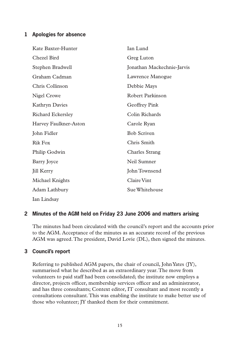# **1 Apologies for absence**

| Kate Baxter-Hunter    | Ian Lund                   |
|-----------------------|----------------------------|
| Chezel Bird           | Greg Luton                 |
| Stephen Bradwell      | Jonathan Mackechnie-Jarvis |
| Graham Cadman         | Lawrence Manogue           |
| Chris Collinson       | Debbie Mays                |
| Nigel Crowe           | Robert Parkinson           |
| Kathryn Davies        | Geoffrey Pink              |
| Richard Eckersley     | Colin Richards             |
| Harvey Faulkner-Aston | Carole Ryan                |
| John Fidler           | <b>Bob Scriven</b>         |
| Rik Fox               | Chris Smith                |
| Philip Godwin         | Charles Strang             |
| Barry Joyce           | Neil Sumner                |
| <b>Jill Kerry</b>     | John Townsend              |
| Michael Knights       | Claire Vint                |
| Adam Lathbury         | Sue Whitehouse             |
| Ian Lindsay           |                            |
|                       |                            |

# **2 Minutes of the AGM held on Friday 23 June 2006 and matters arising**

The minutes had been circulated with the council's report and the accounts prior to the AGM. Acceptance of the minutes as an accurate record of the previous AGM was agreed. The president, David Lovie (DL), then signed the minutes.

# **3 Council's report**

Referring to published AGM papers, the chair of council, John Yates (JY), summarised what he described as an extraordinary year. The move from volunteers to paid staff had been consolidated; the institute now employs a director, projects officer, membership services officer and an administrator, and has three consultants; Context editor, IT consultant and most recently a consultations consultant. This was enabling the institute to make better use of those who volunteer; JY thanked them for their commitment.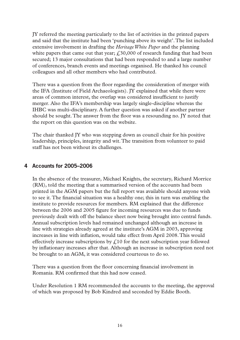JY referred the meeting particularly to the list of activities in the printed papers and said that the institute had been 'punching above its weight'.The list included extensive involvement in drafting the *Heritage White Paper* and the planning white papers that came out that year;  $\dot{f}$ , 30,000 of research funding that had been secured; 13 major consultations that had been responded to and a large number of conferences, branch events and meetings organised. He thanked his council colleagues and all other members who had contributed.

There was a question from the floor regarding the consideration of merger with the IFA (Institute of Field Archaeologists). JY explained that while there were areas of common interest, the overlap was considered insufficient to justify merger. Also the IFA's membership was largely single-discipline whereas the IHBC was multi-disciplinary. A further question was asked if another partner should be sought. The answer from the floor was a resounding no. IY noted that the report on this question was on the website.

The chair thanked JY who was stepping down as council chair for his positive leadership, principles, integrity and wit. The transition from volunteer to paid staff has not been without its challenges.

# **4 Accounts for 2005–2006**

In the absence of the treasurer, Michael Knights, the secretary, Richard Morrice (RM), told the meeting that a summarised version of the accounts had been printed in the AGM papers but the full report was available should anyone wish to see it. The financial situation was a healthy one; this in turn was enabling the institute to provide resources for members. RM explained that the difference between the 2006 and 2005 figure for incoming resources was due to funds previously dealt with off the balance sheet now being brought into central funds. Annual subscription levels had remained unchanged although an increase in line with strategies already agreed at the institute's AGM in 2003, approving increases in line with inflation, would take effect from April 2008. This would effectively increase subscriptions by  $f<sub>i</sub>10$  for the next subscription year followed by inflationary increases after that. Although an increase in subscription need not be brought to an AGM, it was considered courteous to do so.

There was a question from the floor concerning financial involvement in Romania. RM confirmed that this had now ceased.

Under Resolution 1 RM recommended the accounts to the meeting, the approval of which was proposed by Bob Kindred and seconded by Eddie Booth.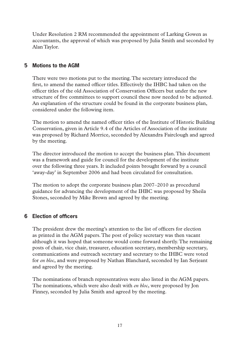Under Resolution 2 RM recommended the appointment of Larking Gowen as accountants, the approval of which was proposed by Julia Smith and seconded by Alan Taylor.

# **5 Motions to the AGM**

There were two motions put to the meeting. The secretary introduced the first, to amend the named officer titles. Effectively the IHBC had taken on the officer titles of the old Association of Conservation Officers but under the new structure of five committees to support council these now needed to be adjusted. An explanation of the structure could be found in the corporate business plan, considered under the following item.

The motion to amend the named officer titles of the Institute of Historic Building Conservation, given in Article 9.4 of the Articles of Association of the institute was proposed by Richard Morrice, seconded by Alexandra Fairclough and agreed by the meeting.

The director introduced the motion to accept the business plan. This document was a framework and guide for council for the development of the institute over the following three years. It included points brought forward by a council 'away-day' in September 2006 and had been circulated for consultation.

The motion to adopt the corporate business plan 2007–2010 as procedural guidance for advancing the development of the IHBC was proposed by Sheila Stones, seconded by Mike Brown and agreed by the meeting.

# **6 Election of officers**

The president drew the meeting's attention to the list of officers for election as printed in the AGM papers. The post of policy secretary was then vacant although it was hoped that someone would come forward shortly. The remaining posts of chair, vice chair, treasurer, education secretary, membership secretary, communications and outreach secretary and secretary to the IHBC were voted for *en bloc*, and were proposed by Nathan Blanchard, seconded by Ian Serjeant and agreed by the meeting.

The nominations of branch representatives were also listed in the AGM papers. The nominations, which were also dealt with *en bloc*, were proposed by Jon Finney, seconded by Julia Smith and agreed by the meeting.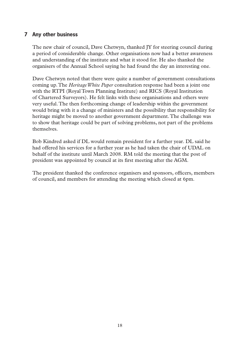# **7 Any other business**

The new chair of council, Dave Chetwyn, thanked JY for steering council during a period of considerable change. Other organisations now had a better awareness and understanding of the institute and what it stood for. He also thanked the organisers of the Annual School saying he had found the day an interesting one.

Dave Chetwyn noted that there were quite a number of government consultations coming up. The *Heritage White Paper* consultation response had been a joint one with the RTPI (Royal Town Planning Institute) and RICS (Royal Institution of Chartered Surveyors). He felt links with these organisations and others were very useful. The then forthcoming change of leadership within the government would bring with it a change of ministers and the possibility that responsibility for heritage might be moved to another government department. The challenge was to show that heritage could be part of solving problems, not part of the problems themselves.

Bob Kindred asked if DL would remain president for a further year. DL said he had offered his services for a further year as he had taken the chair of UDAL on behalf of the institute until March 2008. RM told the meeting that the post of president was appointed by council at its first meeting after the AGM.

The president thanked the conference organisers and sponsors, officers, members of council, and members for attending the meeting which closed at 6pm.